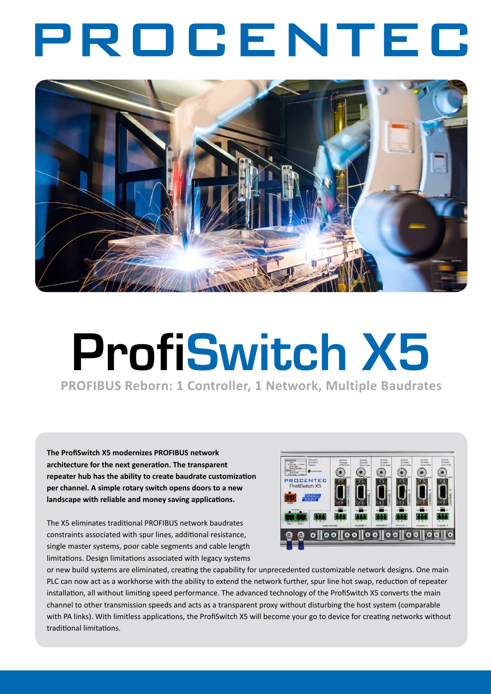## PROCENTEC



# **ProfiSwitch X5**

**PROFIBUS Reborn: 1 Controller, 1 Network, Multiple Baudrates**

**The ProfiSwitch X5 modernizes PROFIBUS network architecture for the next generation. The transparent repeater hub has the ability to create baudrate customization per channel. A simple rotary switch opens doors to a new landscape with reliable and money saving applications.**

The X5 eliminates traditional PROFIBUS network baudrates constraints associated with spur lines, additional resistance, single master systems, poor cable segments and cable length limitations. Design limitations associated with legacy systems



or new build systems are eliminated, creating the capability for unprecedented customizable network designs. One main PLC can now act as a workhorse with the ability to extend the network further, spur line hot swap, reduction of repeater installation, all without limiting speed performance. The advanced technology of the ProfiSwitch X5 converts the main channel to other transmission speeds and acts as a transparent proxy without disturbing the host system (comparable with PA links). With limitless applications, the ProfiSwitch X5 will become your go to device for creating networks without traditional limitations.